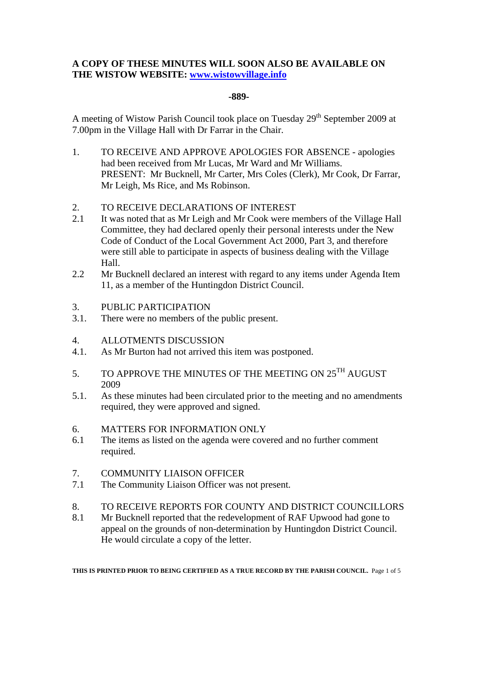## **A COPY OF THESE MINUTES WILL SOON ALSO BE AVAILABLE ON THE WISTOW WEBSITE: www.wistowvillage.info**

### **-889-**

A meeting of Wistow Parish Council took place on Tuesday  $29<sup>th</sup>$  September 2009 at 7.00pm in the Village Hall with Dr Farrar in the Chair.

- 1. TO RECEIVE AND APPROVE APOLOGIES FOR ABSENCE apologies had been received from Mr Lucas, Mr Ward and Mr Williams. PRESENT: Mr Bucknell, Mr Carter, Mrs Coles (Clerk), Mr Cook, Dr Farrar, Mr Leigh, Ms Rice, and Ms Robinson.
- 2. TO RECEIVE DECLARATIONS OF INTEREST
- 2.1 It was noted that as Mr Leigh and Mr Cook were members of the Village Hall Committee, they had declared openly their personal interests under the New Code of Conduct of the Local Government Act 2000, Part 3, and therefore were still able to participate in aspects of business dealing with the Village Hall.
- 2.2 Mr Bucknell declared an interest with regard to any items under Agenda Item 11, as a member of the Huntingdon District Council.
- 3. PUBLIC PARTICIPATION
- 3.1. There were no members of the public present.
- 4. ALLOTMENTS DISCUSSION
- 4.1. As Mr Burton had not arrived this item was postponed.
- 5. TO APPROVE THE MINUTES OF THE MEETING ON  $25^{TH}$  AUGUST 2009
- 5.1. As these minutes had been circulated prior to the meeting and no amendments required, they were approved and signed.
- 6. MATTERS FOR INFORMATION ONLY
- 6.1 The items as listed on the agenda were covered and no further comment required.
- 7. COMMUNITY LIAISON OFFICER
- 7.1 The Community Liaison Officer was not present.
- 8. TO RECEIVE REPORTS FOR COUNTY AND DISTRICT COUNCILLORS
- 8.1 Mr Bucknell reported that the redevelopment of RAF Upwood had gone to appeal on the grounds of non-determination by Huntingdon District Council. He would circulate a copy of the letter.

**THIS IS PRINTED PRIOR TO BEING CERTIFIED AS A TRUE RECORD BY THE PARISH COUNCIL.** Page 1 of 5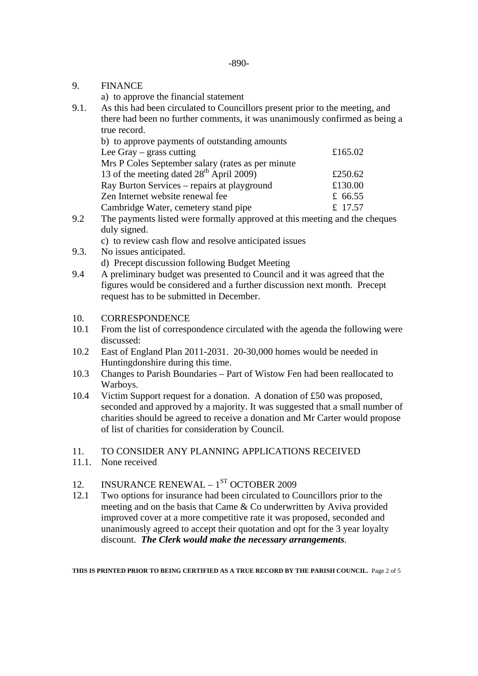### 9. FINANCE

a) to approve the financial statement

9.1. As this had been circulated to Councillors present prior to the meeting, and there had been no further comments, it was unanimously confirmed as being a true record.

| b) to approve payments of outstanding amounts        |         |
|------------------------------------------------------|---------|
| Lee Gray $-$ grass cutting                           | £165.02 |
| Mrs P Coles September salary (rates as per minute    |         |
| 13 of the meeting dated 28 <sup>th</sup> April 2009) | £250.62 |
| Ray Burton Services - repairs at playground          | £130.00 |
| Zen Internet website renewal fee                     | £ 66.55 |
| Cambridge Water, cemetery stand pipe                 | £ 17.57 |

9.2 The payments listed were formally approved at this meeting and the cheques duly signed.

c) to review cash flow and resolve anticipated issues

- 9.3. No issues anticipated.
	- d) Precept discussion following Budget Meeting
- 9.4 A preliminary budget was presented to Council and it was agreed that the figures would be considered and a further discussion next month. Precept request has to be submitted in December.
- 10. CORRESPONDENCE
- 10.1 From the list of correspondence circulated with the agenda the following were discussed:
- 10.2 East of England Plan 2011-2031. 20-30,000 homes would be needed in Huntingdonshire during this time.
- 10.3 Changes to Parish Boundaries Part of Wistow Fen had been reallocated to Warboys.
- 10.4 Victim Support request for a donation. A donation of £50 was proposed, seconded and approved by a majority. It was suggested that a small number of charities should be agreed to receive a donation and Mr Carter would propose of list of charities for consideration by Council.
- 11. TO CONSIDER ANY PLANNING APPLICATIONS RECEIVED
- 11.1. None received

## 12. INSURANCE RENEWAL –  $1<sup>ST</sup>$  OCTOBER 2009

12.1 Two options for insurance had been circulated to Councillors prior to the meeting and on the basis that Came & Co underwritten by Aviva provided improved cover at a more competitive rate it was proposed, seconded and unanimously agreed to accept their quotation and opt for the 3 year loyalty discount. *The Clerk would make the necessary arrangements*.

**THIS IS PRINTED PRIOR TO BEING CERTIFIED AS A TRUE RECORD BY THE PARISH COUNCIL.** Page 2 of 5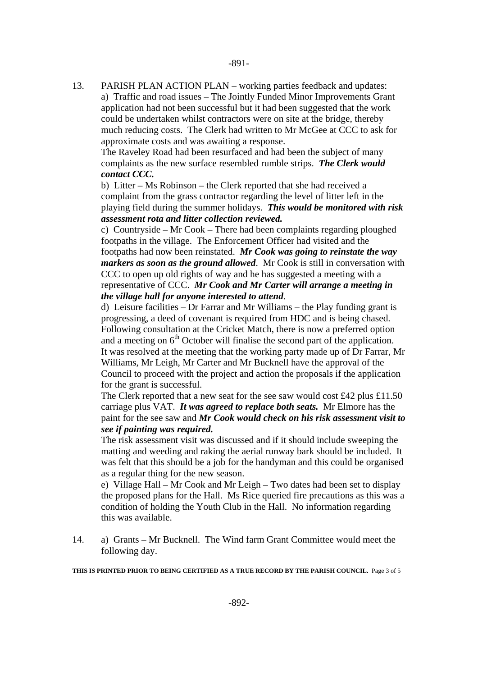13. PARISH PLAN ACTION PLAN – working parties feedback and updates: a) Traffic and road issues – The Jointly Funded Minor Improvements Grant application had not been successful but it had been suggested that the work could be undertaken whilst contractors were on site at the bridge, thereby much reducing costs. The Clerk had written to Mr McGee at CCC to ask for approximate costs and was awaiting a response.

 The Raveley Road had been resurfaced and had been the subject of many complaints as the new surface resembled rumble strips. *The Clerk would contact CCC.* 

 b) Litter – Ms Robinson – the Clerk reported that she had received a complaint from the grass contractor regarding the level of litter left in the playing field during the summer holidays. *This would be monitored with risk assessment rota and litter collection reviewed.* 

c) Countryside – Mr Cook – There had been complaints regarding ploughed footpaths in the village. The Enforcement Officer had visited and the footpaths had now been reinstated. *Mr Cook was going to reinstate the way markers as soon as the ground allowed*. Mr Cook is still in conversation with CCC to open up old rights of way and he has suggested a meeting with a representative of CCC. *Mr Cook and Mr Carter will arrange a meeting in the village hall for anyone interested to attend*.

d) Leisure facilities – Dr Farrar and Mr Williams – the Play funding grant is progressing, a deed of covenant is required from HDC and is being chased. Following consultation at the Cricket Match, there is now a preferred option and a meeting on  $6<sup>th</sup>$  October will finalise the second part of the application. It was resolved at the meeting that the working party made up of Dr Farrar, Mr Williams, Mr Leigh, Mr Carter and Mr Bucknell have the approval of the Council to proceed with the project and action the proposals if the application for the grant is successful.

The Clerk reported that a new seat for the see saw would cost £42 plus £11.50 carriage plus VAT. *It was agreed to replace both seats.* Mr Elmore has the paint for the see saw and *Mr Cook would check on his risk assessment visit to see if painting was required.* 

The risk assessment visit was discussed and if it should include sweeping the matting and weeding and raking the aerial runway bark should be included. It was felt that this should be a job for the handyman and this could be organised as a regular thing for the new season.

e) Village Hall – Mr Cook and Mr Leigh – Two dates had been set to display the proposed plans for the Hall. Ms Rice queried fire precautions as this was a condition of holding the Youth Club in the Hall. No information regarding this was available.

14. a) Grants – Mr Bucknell. The Wind farm Grant Committee would meet the following day.

**THIS IS PRINTED PRIOR TO BEING CERTIFIED AS A TRUE RECORD BY THE PARISH COUNCIL.** Page 3 of 5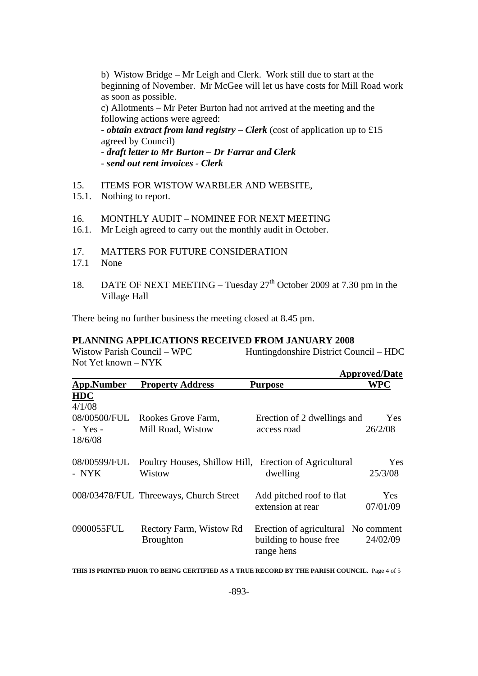b) Wistow Bridge – Mr Leigh and Clerk. Work still due to start at the beginning of November. Mr McGee will let us have costs for Mill Road work as soon as possible. c) Allotments – Mr Peter Burton had not arrived at the meeting and the following actions were agreed: - *obtain extract from land registry – Clerk* (cost of application up to £15 agreed by Council)

- *draft letter to Mr Burton – Dr Farrar and Clerk*

- *send out rent invoices Clerk*
- 15. ITEMS FOR WISTOW WARBLER AND WEBSITE,
- 15.1. Nothing to report.
- 16. MONTHLY AUDIT NOMINEE FOR NEXT MEETING
- 16.1. Mr Leigh agreed to carry out the monthly audit in October.
- 17. MATTERS FOR FUTURE CONSIDERATION
- 17.1 None
- 18. DATE OF NEXT MEETING Tuesday  $27<sup>th</sup>$  October 2009 at 7.30 pm in the Village Hall

There being no further business the meeting closed at 8.45 pm.

#### **PLANNING APPLICATIONS RECEIVED FROM JANUARY 2008**

Wistow Parish Council – WPC Huntingdonshire District Council – HDC Not Yet known – NYK

|                       |                                                                  | <b>Approved/Date</b>                                                        |                       |  |
|-----------------------|------------------------------------------------------------------|-----------------------------------------------------------------------------|-----------------------|--|
| <b>App.Number</b>     | <b>Property Address</b>                                          | <b>Purpose</b>                                                              | <b>WPC</b>            |  |
| <b>HDC</b><br>4/1/08  |                                                                  |                                                                             |                       |  |
| $-$ Yes -<br>18/6/08  | 08/00500/FUL Rookes Grove Farm,<br>Mill Road, Wistow             | Erection of 2 dwellings and<br>access road                                  | Yes<br>26/2/08        |  |
| 08/00599/FUL<br>- NYK | Poultry Houses, Shillow Hill, Erection of Agricultural<br>Wistow | dwelling                                                                    | <b>Yes</b><br>25/3/08 |  |
|                       | 008/03478/FUL Threeways, Church Street                           | Add pitched roof to flat<br>extension at rear                               | Yes<br>07/01/09       |  |
| 0900055FUL            | Rectory Farm, Wistow Rd<br><b>Broughton</b>                      | Erection of agricultural No comment<br>building to house free<br>range hens | 24/02/09              |  |

**THIS IS PRINTED PRIOR TO BEING CERTIFIED AS A TRUE RECORD BY THE PARISH COUNCIL.** Page 4 of 5